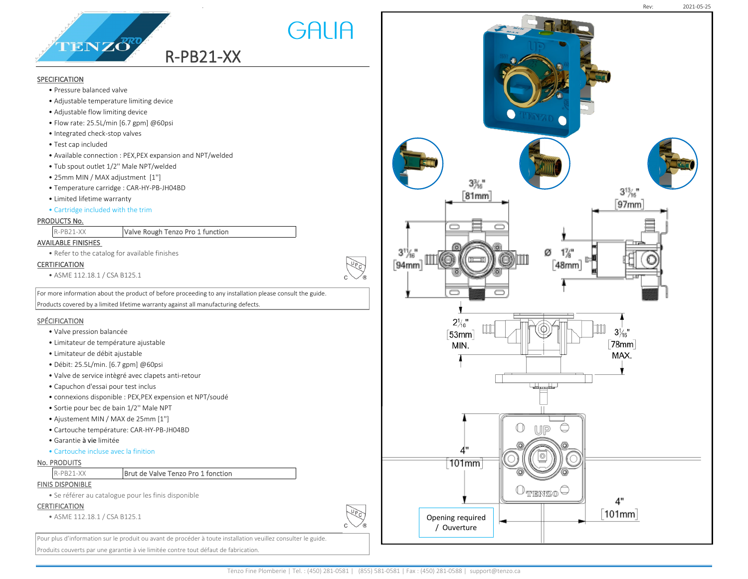

# **SPECIFICATION**

- Pressure balanced valve
- Adjustable temperature limiting device
- Adjustable flow limiting device
- Flow rate: 25.5L/min [6.7 gpm] @60psi
- Integrated check-stop valves
- Test cap included
- Available connection : PEX,PEX expansion and NPT/welded
- Tub spout outlet 1/2'' Male NPT/welded
- 25mm MIN / MAX adjustment [1'']
- Temperature carridge : CAR-HY-PB-JH04BD
- Limited lifetime warranty
- Cartridge included with the trim

# PRODUCTS No.

|  | $R-PB21-XX$ | Valve Rough Tenzo Pro 1 function |
|--|-------------|----------------------------------|
|--|-------------|----------------------------------|

# AVAILABLE FINISHES

• Refer to the catalog for available finishes

## CERTIFICATION

• ASME 112.18.1 / CSA B125.1

For more information about the product of before proceeding to any installation please consult the guide. Products covered by a limited lifetime warranty against all manufacturing defects.

.

GALIA

## **SPÉCIFICATION**

- Valve pression balancée
- Limitateur de température ajustable
- Limitateur de débit ajustable
- Débit: 25.5L/min. [6.7 gpm] @60psi
- Valve de service intègré avec clapets anti-retour
- Capuchon d'essai pour test inclus
- connexions disponible : PEX,PEX expension et NPT/soudé
- Sortie pour bec de bain 1/2'' Male NPT
- Ajustement MIN / MAX de 25mm [1'']
- Cartouche température: CAR-HY-PB-JH04BD
- Garantie à vie limitée
- Cartouche incluse avec la finition

#### No. PRODUITS

## R-PB21-XX **Brut de Valve Tenzo Pro 1 fonction**

## FINIS DISPONIBLE

• Se référer au catalogue pour les finis disponible

#### **CERTIFICATION**

• ASME 112.18.1 / CSA B125.1

Pour plus d'information sur le produit ou avant de procéder à toute installation veuillez consulter le guide.

Produits couverts par une garantie à vie limitée contre tout défaut de fabrication.

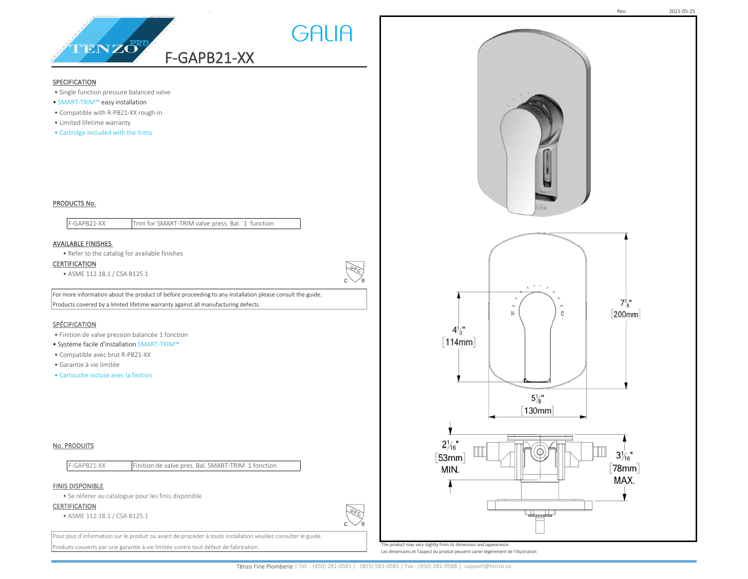

## SPECIFICATION

- Single function pressure balanced valve
- SMART-TRIM™ easy installation
- Compatible with R-PB21-XX rough-in
- Limited lifetime warranty
- Cartridge included with the trims

# $\lambda = \lambda - \frac{1}{2}$  $7\frac{7}{8}$ " [200mm] C  $4\frac{1}{2}$ "  $\lceil 114 \text{mm} \rceil$  $5\frac{1}{8}$ " 130mm  $2\frac{1}{16}$ "  $3\frac{1}{46}$ "  $[53mm]$  $\lceil 78$ mm $\rceil$ MIN. MAX. ماتلوهم ماتاه

# PRODUCTS No.

F-GAPB21-XX Trim for SMART-TRIM valve press. Bal. 1 function

## AVAILABLE FINISHES

• Refer to the catalog for available finishes

**CERTIFICATION** 

• ASME 112.18.1 / CSA B125.1

For more information about the product of before proceeding to any installation please consult the guide. Products covered by a limited lifetime warranty against all manufacturing defects.

# **SPÉCIFICATION**

- Finition de valve pression balancée 1 fonction
- Système facile d'installation SMART-TRIM™
- Compatible avec brut R-PB21-XX
- Garantie à vie limitée
- Cartouche incluse avec la finition

## No. PRODUITS

| F-GAPB21-XX |  |  | Finition de valve pres. Bal. SMART-TRIM 1 fonction |  |
|-------------|--|--|----------------------------------------------------|--|
|             |  |  |                                                    |  |

## FINIS DISPONIBLE

• Se référer au catalogue pour les finis disponible

### **CERTIFICATION**

• ASME 112.18.1 / CSA B125.1

Pour plus d'information sur le produit ou avant de procéder à toute installation veuillez consulter le guide. Produits couverts par une garantie à vie limitée contre tout défaut de fabrication.

 $\sqrt{\frac{49}{2}}$ 

**LUPCY** 

GALIA

The product may vary slightly from its dimension and appearance.

Les dimensions et l'aspect du produit peuvent varier légèrement de l'illustration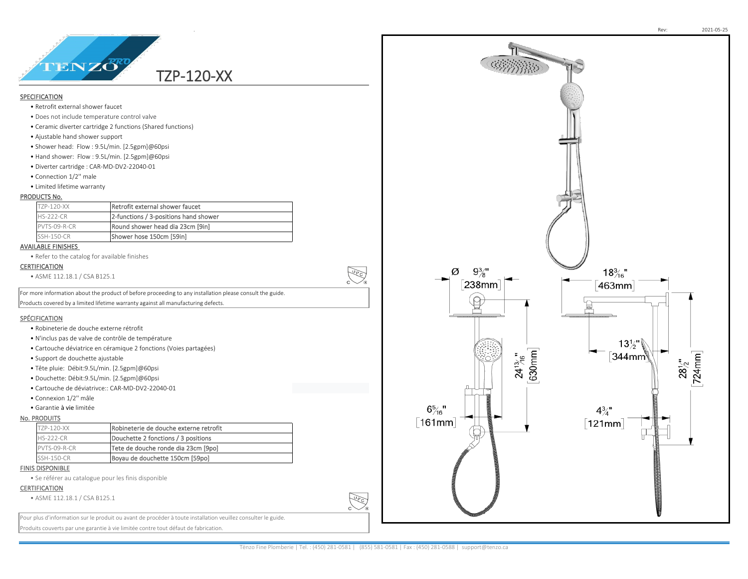